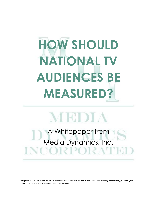# **HOW SHOULD NATIONAL TV AUDIENCES BE MEASURED?**

# A Whitepaper from Media Dynamics, Inc.'ORPOR

MEDIA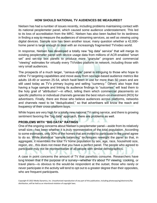### **HOW SHOULD NATIONAL TV AUDIENCES BE MEASURED?**

Nielsen has had a number of issues recently, including problems maintaining contact with its national peoplemeter panel, which caused some audience understatement. This led to its loss of accreditation from the MRC. Nielsen has also been faulted for its tardiness in finding a way to measure the audiences of streaming services, as well as viewing using digital devices. Sample size has been another issue; many question whether a 42,000 home panel is large enough to deal with an increasingly fragmented TV/video world.

In response, Nielsen has developed a totally new "big data" service" that will merge its existing peoplemeter panel with device usage data from millions of ACR-enabled "smart set" and set-top box panels to produce more "granular" program and commercial "viewing" estimates for virtually every TV/video platform or network, including those with very small audiences.

The prospects of a much larger, "census-style" panel is intriguing to those who hope to refine TV targeting capabilities and move away from sex/age-based audience metrics like adults 18-49 or women 25-54, which have been in use for more than 50 years and are still used today as TV's primary buying and selling "currency." Others also hope that having a huge sample and linking its audience findings to "outcomes" will lead them to the holy grail of "attribution"—in effect, telling them which commercial placements on specific platforms or individual channels generate the best return-on-investment (ROI) for advertisers. Finally, there are those who believe audiences across platforms, networks and channels need to be "deduplicated," so that advertisers will know the reach and frequency of their cross-platform buys.

While hopes are very high for a totally new national TV rating service, and there is growing sentiment favoring the "big data" approach, there are problems as well.

# **PROBLEMS WITH "BIG DATA" RATINGS**

One of the ongoing concerns about Nielsen's peoplemeter panel—aside from its relatively small size—has been whether it is truly representative of the total population. According to some estimates, only 30% of the homes that are invited to participate in the panel agree to do so. While statistical "sample balancing" techniques reweight the panel so that, in aggregate, it resembles the total TV home population by sex, age, race, household size, region, etc., this does not mean that you have a perfect panel. The people who agreed to participate may not be representative of all people with similar demographics.

A case in point concerns the amount of TV that panelists consume. Researchers have long known that if the purpose of a survey—whether it's about TV viewing, cooking, or travel plans—is obvious to the would-be respondent at the outset, those who rarely or never participate in the activity will tend to opt out to a greater degree than their opposites, who are frequent participants.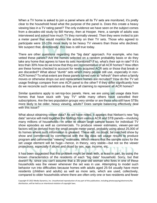When a TV home is asked to join a panel where all its TV sets are monitored, it's pretty clear to the household head what the purpose of the panel is. Does this create a heavy viewing bias in a TV rating panel? The only evidence we have seen on the subject comes from a decades-old study by Bill Harvey, then at Hooper. Here, a sample of adults was interviewed and asked how much TV they normally viewed. Then they were invited to join a meter panel that would monitor the activity on their TV sets. Those who agreed to participate were 10-15% more likely to be heavy TV viewers than those who declined. We suspect that, directionally, this bias is still true today.

There are other questions regarding the "big data" approach. For example, who has vetted these panels? Are the homes selected on a random probability basis or do they take any home that agrees to have its sets monitored? If so, what's their opt-in rate? If it's less than 30% how do we know that they are representative of all ACR homes? How often are these homes checked to account for newly acquired ACR sets or those that break or are discarded? What about "dumb" sets which many people still use, especially in non-ACR homes? To what extent are these panels turned over to "refresh" them when a family moves or otherwise drops out and replacement homes are recruited? How do the TV set usage findings compare from one ACR panel to the other? If they differ significantly how do we reconcile such variations as they are all claiming to represent all ACR homes?

Similar questions apply to set-top-box panels. Here, we are using set usage data from homes that have stuck with "pay TV" while many others have cancelled their subscriptions. Are the two population groups very similar or are those who still have STBs more likely to be older, heavy viewing, adults? Does sample balancing effectively deal with this issue?

What about obtaining viewer data? As we have noted, it appears that Nielsen's new "big data" service will meld together the findings from various ACR and STB panels—involving many millions of households—in order to obtain large sample bases for individual TV show episodes as well as commercials. To produce viewer estimates, viewer-per-set factors will be derived from the small people meter panel, probably using about 25,000 of its homes where such information is gleaned. These will, no doubt, be matched show by show and commercial by commercial with the big data set usage results to produce program and commercial "viewing" estimates. Which means that the sample sizes for the set usage element will be huge—hence, in theory, very stable—but not so the viewer projections, especially if sliced and diced by sex, age, income, etc.

It has been suggested that this problem might be dealt with, at least in part, by using the known characteristics of the residents of each "big data" household. Sorry, but that doesn't fly, since you can't assume that a 35-year-old woman who lives in one of these households was the viewer whenever the set was in use. Attempting to model such behavior run into difficulties because homes with adults aged 25-54 usually have more residents (children and adults) as well as more sets, which are used, collectively, compared to older households where there are often only one or two residents and fewer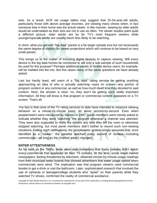sets. As a result, ACR set usage tallies may suggest that 25-54-year-old adults, particularly those with above average incomes, are viewing many shows when, in fact someone else in their home was the actual viewer. In like manner, viewing by older adults would be understated as their sets are not in use as often. Yet viewer studies paint quite a different picture: older adults are by far TV's most frequent viewers while younger/upscale adults are usually much less likely to be watching.

In short, what you get with "big data" panels is a far larger sample size but not necessarily the same degree of stability for viewer projections which will continue to be based on very small panels.

This brings us to the matter of including digital devices to capture viewing. Will every device in the big data homes be monitored or will only a sub-sample of such households be used for this purpose? Perhaps additional panels of mobile device users, for example, will be melded into the mix. But this raises many of the same questions we have already asked.

Last but hardly least, will users of a "big data" rating service be getting anything approaching an idea of who is actually watching—eyes on screen—any portion of program content or any commercial, as well as how much dwell time they devoted to said content. Here, the answer is clear: no, they won't be getting such vitally important information. All they will know is that program or commercial content appeared on a TV screen. That's all.

The fact is that none of the TV rating services to date have intended to measure viewing behavior on a minute-by-minute basis, let alone second-by-second. Even when peoplemeters were introduced by Nielsen in 1987, panel members were merely asked to indicate whether they were "watching" the program whenever a channel was selected. They were also supposed to notify the system any time they left the room or otherwise stopped watching, but most panel members didn't bother to record such non-viewing situations. Failing such notifications, the peoplemeter system simply assumed that, once identified as a "viewer," the panelist watched every second of content—including commercials—as long as the channel wasn't changed.

#### **ENTER ATTENTIVENESS**

As far back as the 1950s, there were clear indications that many viewers didn't watch every commercial that appeared on their TV screens. At the time, some major-market newspapers, feeling threatened by television, obtained minute-by-minute usage readings from their municipal water boards that showed advertisers that water usage spiked when commercials were aired. The implication was that program viewers used commercial breaks to get a drink or visit the bathroom. Later, sophisticated research that involved the use of cameras or teenage/college students who "spied" on their parents while they watched TV shows, confirmed the reality of commercial avoidance.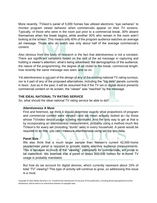More recently, TVision's panel of 5,000 homes has utilized electronic "eye cameras" to monitor program viewer behavior when commercials appear on their TV screens. Typically, of those who were in the room just prior to a commercial break, 30% absent themselves when the break begins, while another 30% who remain in the room aren't looking at the screen. This means only 40% of the program audience watches an average ad message. Those who do watch see only about half of the average commercial's content.

Also obvious from this body of research is the fact that attentiveness is not a constant. There are significant variations based on the skill of the ad message in capturing and holding a viewer's attention; what's being advertised; the demographics of the audience; the nature of the programming; the degree of ad clutter in the break; commercial length; how recently the same message was seen; and so on.

Yet attentiveness is not part of the design of any of the existing national TV rating surveys, nor is it part of any of the proposed alternatives, including the "big data" panels currently in favor. Just as in the past, it will be assumed that if the TV set or digital device presents commercial content on its screen, the "viewer" was "reached" by the message.

# **THE IDEAL NATIONAL TV RATING SERVICE**

So, what should the ideal national TV rating service be able to do?

#### **Attentiveness A Must**

First and foremost, we think it should determine exactly what proportions of program and commercial content were viewed—and we mean actually looked at—by those whose TV/video device usage is being monitored. And the only way to get at that is by incorporating an attentiveness measurement, probably using a method much like TVision's for every set (including "dumb" sets) in every household. A panel would be required to do this; you can't measure attentiveness using set top box data.

#### **Panel Size**

We also think that a much larger sample than Nielsen's current 42,000-home peoplemeter panel is required to provide stable attentive audience measurements. This is because so much of the "viewing," particularly for commercials, will prove to be inattentive. We estimate that a panel of about 200,000 homes for in-home TV usage is probably mandated.

But how do we account for digital devices, which currently represent about 15% of total "TV" viewing? This type of activity will continue to grow, so addressing this issue is a must.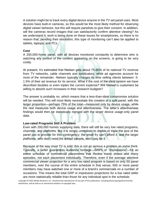A solution might be to track every digital device anyone in the TV set panel uses. Most devices have built-in cameras, so this would be the most likely method for observing digital viewer behavior, but this will require panelists to give their consent. In addition, will the cameras record images that can satisfactorily confirm attentive viewing? As we understand it, work is being done on these issues for smartphones, so there is no reason that, pending their resolution, this type of monitoring can't also be applied to tablets, laptops, and PCs.

#### **Cost**

A 200,000-home panel, with all devices monitored constantly to determine who is watching any portion of the content appearing on the screens, is going to be very costly.

At present, it's estimated that Nielsen gets about 75-80% of its national TV revenue from TV networks, cable channels and syndicators, while ad agencies account for most of the remainder. Nielsen typically charges its time selling clients between .5- 1.5% of their ad revenue for its service. What if the cost of the ideal system we have described doubles or even triples the current expense? Will Nielsen's customers be willing to absorb such increases in their research budgets?

The answer is probably no, which means that a less-than-ideal compromise solution will be needed. This will most likely necessitate the creation of a split panel, with the larger proportion—perhaps 75% of the total—measured only by device usage, while the rest measures both device usage and attentiveness. The latter's attentiveness findings would then be statistically merged with the larger device usage-only panel data.

#### **Low-rated Programs Still A Problem**

Even with 200,000 homes supplying data, there will still be very low rated programs, channels, and platforms. But it is simply unrealistic to double or triple the size of the panel just to provide for this contingency; the small fry can't afford it, and the larger platforms, who don't need the added sample, won't pay for it.

Because of the way most TV is sold, this is not as serious a problem as some think. Typically, a seller guarantees audience tonnage—GRPs or "impressions"—for an entire schedule of commercial placements that involve many shows and many episodes, not each placement individually. Therefore, even if the average attentive commercial viewer projection for a very low rated program is based on only 50 panel members, over the course of the entire schedule in that venue, 500 or more panel members may have watched one or more of a brand's commercials on a number of occasions. This means the total GRP or impression projections for a low rated seller are more statistically reliable than those for any individual spot in the schedule.